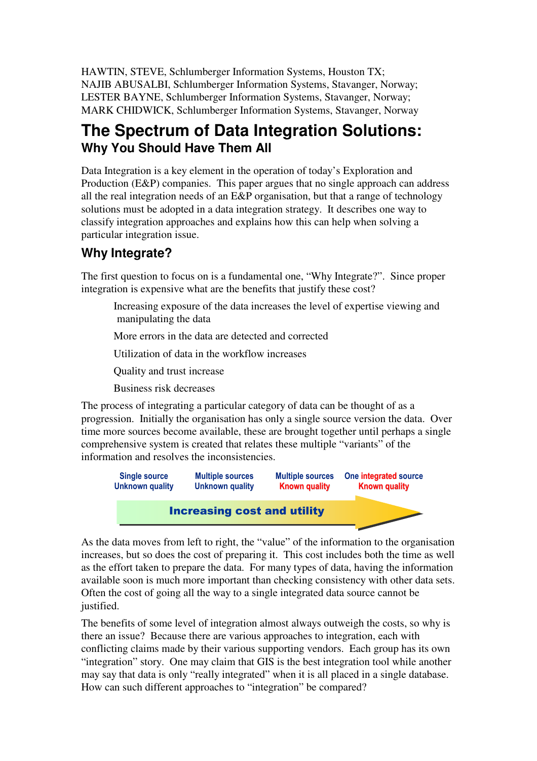HAWTIN, STEVE, Schlumberger Information Systems, Houston TX; NAJIB ABUSALBI, Schlumberger Information Systems, Stavanger, Norway; LESTER BAYNE, Schlumberger Information Systems, Stavanger, Norway; MARK CHIDWICK, Schlumberger Information Systems, Stavanger, Norway

# **The Spectrum of Data Integration Solutions: Why You Should Have Them All**

Data Integration is a key element in the operation of today's Exploration and Production (E&P) companies. This paper argues that no single approach can address all the real integration needs of an E&P organisation, but that a range of technology solutions must be adopted in a data integration strategy. It describes one way to classify integration approaches and explains how this can help when solving a particular integration issue.

### **Why Integrate?**

The first question to focus on is a fundamental one, "Why Integrate?". Since proper integration is expensive what are the benefits that justify these cost?

- Increasing exposure of the data increases the level of expertise viewing and manipulating the data
- More errors in the data are detected and corrected

Utilization of data in the workflow increases

Quality and trust increase

Business risk decreases

The process of integrating a particular category of data can be thought of as a progression. Initially the organisation has only a single source version the data. Over time more sources become available, these are brought together until perhaps a single comprehensive system is created that relates these multiple "variants" of the information and resolves the inconsistencies.



As the data moves from left to right, the "value" of the information to the organisation increases, but so does the cost of preparing it. This cost includes both the time as well as the effort taken to prepare the data. For many types of data, having the information available soon is much more important than checking consistency with other data sets. Often the cost of going all the way to a single integrated data source cannot be justified.

The benefits of some level of integration almost always outweigh the costs, so why is there an issue? Because there are various approaches to integration, each with conflicting claims made by their various supporting vendors. Each group has its own "integration" story. One may claim that GIS is the best integration tool while another may say that data is only "really integrated" when it is all placed in a single database. How can such different approaches to "integration" be compared?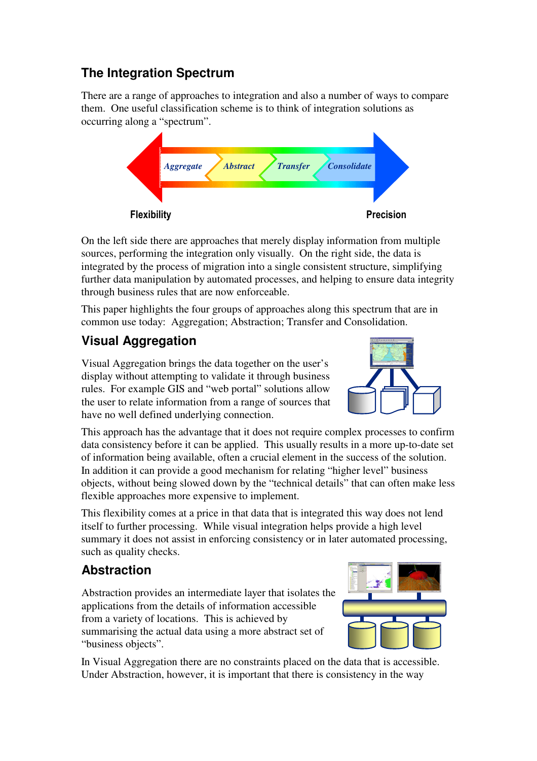### **The Integration Spectrum**

There are a range of approaches to integration and also a number of ways to compare them. One useful classification scheme is to think of integration solutions as occurring along a "spectrum".



On the left side there are approaches that merely display information from multiple sources, performing the integration only visually. On the right side, the data is integrated by the process of migration into a single consistent structure, simplifying further data manipulation by automated processes, and helping to ensure data integrity through business rules that are now enforceable.

This paper highlights the four groups of approaches along this spectrum that are in common use today: Aggregation; Abstraction; Transfer and Consolidation.

## **Visual Aggregation**

Visual Aggregation brings the data together on the user's display without attempting to validate it through business rules. For example GIS and "web portal" solutions allow the user to relate information from a range of sources that have no well defined underlying connection.

This approach has the advantage that it does not require complex processes to confirm data consistency before it can be applied. This usually results in a more up-to-date set of information being available, often a crucial element in the success of the solution. In addition it can provide a good mechanism for relating "higher level" business objects, without being slowed down by the "technical details" that can often make less flexible approaches more expensive to implement.

This flexibility comes at a price in that data that is integrated this way does not lend itself to further processing. While visual integration helps provide a high level summary it does not assist in enforcing consistency or in later automated processing, such as quality checks.

## **Abstraction**

Abstraction provides an intermediate layer that isolates the applications from the details of information accessible from a variety of locations. This is achieved by summarising the actual data using a more abstract set of "business objects".

In Visual Aggregation there are no constraints placed on the data that is accessible. Under Abstraction, however, it is important that there is consistency in the way



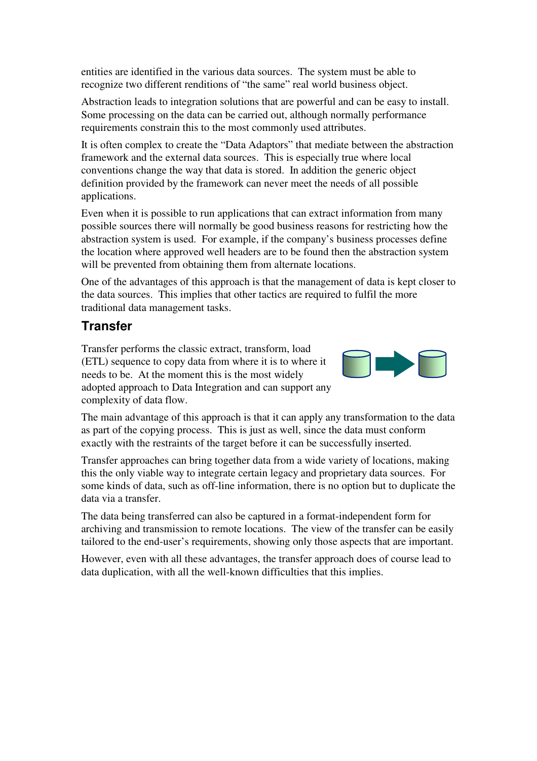entities are identified in the various data sources. The system must be able to recognize two different renditions of "the same" real world business object.

Abstraction leads to integration solutions that are powerful and can be easy to install. Some processing on the data can be carried out, although normally performance requirements constrain this to the most commonly used attributes.

It is often complex to create the "Data Adaptors" that mediate between the abstraction framework and the external data sources. This is especially true where local conventions change the way that data is stored. In addition the generic object definition provided by the framework can never meet the needs of all possible applications.

Even when it is possible to run applications that can extract information from many possible sources there will normally be good business reasons for restricting how the abstraction system is used. For example, if the company's business processes define the location where approved well headers are to be found then the abstraction system will be prevented from obtaining them from alternate locations.

One of the advantages of this approach is that the management of data is kept closer to the data sources. This implies that other tactics are required to fulfil the more traditional data management tasks.

#### **Transfer**

Transfer performs the classic extract, transform, load (ETL) sequence to copy data from where it is to where it needs to be. At the moment this is the most widely adopted approach to Data Integration and can support any complexity of data flow.



The main advantage of this approach is that it can apply any transformation to the data as part of the copying process. This is just as well, since the data must conform exactly with the restraints of the target before it can be successfully inserted.

Transfer approaches can bring together data from a wide variety of locations, making this the only viable way to integrate certain legacy and proprietary data sources. For some kinds of data, such as off-line information, there is no option but to duplicate the data via a transfer.

The data being transferred can also be captured in a format-independent form for archiving and transmission to remote locations. The view of the transfer can be easily tailored to the end-user's requirements, showing only those aspects that are important.

However, even with all these advantages, the transfer approach does of course lead to data duplication, with all the well-known difficulties that this implies.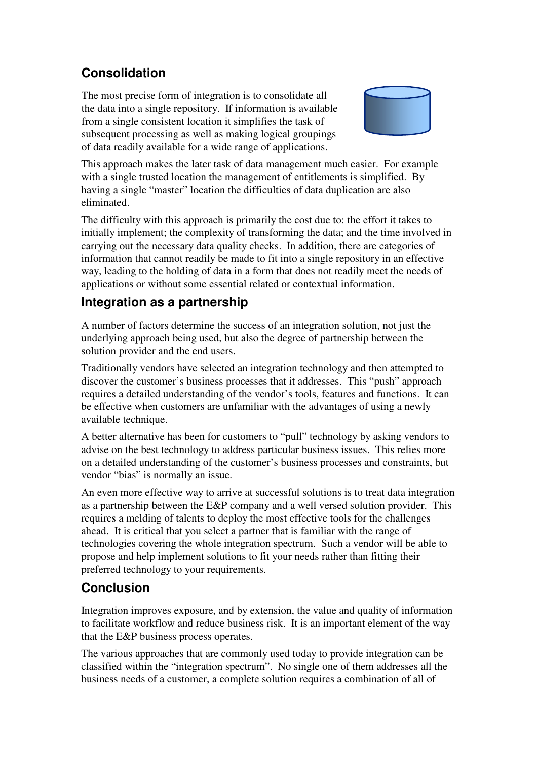### **Consolidation**

The most precise form of integration is to consolidate all the data into a single repository. If information is available from a single consistent location it simplifies the task of subsequent processing as well as making logical groupings of data readily available for a wide range of applications.



This approach makes the later task of data management much easier. For example with a single trusted location the management of entitlements is simplified. By having a single "master" location the difficulties of data duplication are also eliminated.

The difficulty with this approach is primarily the cost due to: the effort it takes to initially implement; the complexity of transforming the data; and the time involved in carrying out the necessary data quality checks. In addition, there are categories of information that cannot readily be made to fit into a single repository in an effective way, leading to the holding of data in a form that does not readily meet the needs of applications or without some essential related or contextual information.

#### **Integration as a partnership**

A number of factors determine the success of an integration solution, not just the underlying approach being used, but also the degree of partnership between the solution provider and the end users.

Traditionally vendors have selected an integration technology and then attempted to discover the customer's business processes that it addresses. This "push" approach requires a detailed understanding of the vendor's tools, features and functions. It can be effective when customers are unfamiliar with the advantages of using a newly available technique.

A better alternative has been for customers to "pull" technology by asking vendors to advise on the best technology to address particular business issues. This relies more on a detailed understanding of the customer's business processes and constraints, but vendor "bias" is normally an issue.

An even more effective way to arrive at successful solutions is to treat data integration as a partnership between the E&P company and a well versed solution provider. This requires a melding of talents to deploy the most effective tools for the challenges ahead. It is critical that you select a partner that is familiar with the range of technologies covering the whole integration spectrum. Such a vendor will be able to propose and help implement solutions to fit your needs rather than fitting their preferred technology to your requirements.

#### **Conclusion**

Integration improves exposure, and by extension, the value and quality of information to facilitate workflow and reduce business risk. It is an important element of the way that the E&P business process operates.

The various approaches that are commonly used today to provide integration can be classified within the "integration spectrum". No single one of them addresses all the business needs of a customer, a complete solution requires a combination of all of